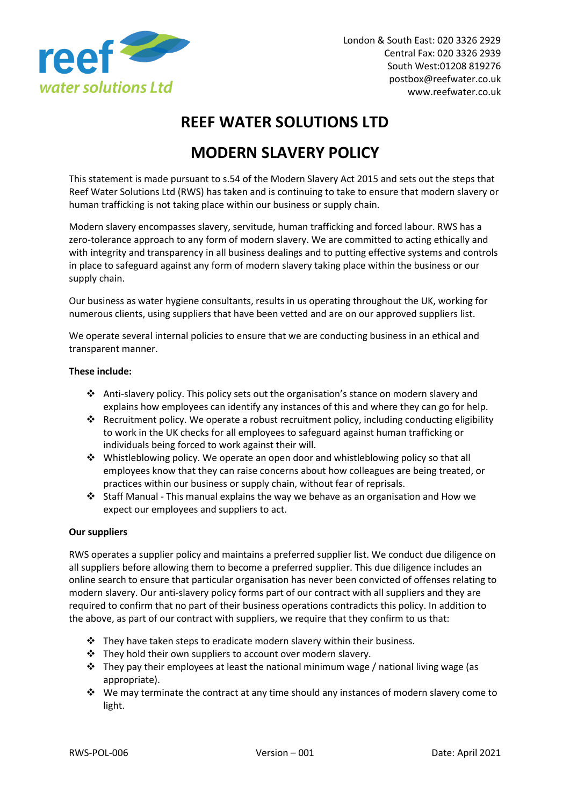

# **REEF WATER SOLUTIONS LTD**

## **MODERN SLAVERY POLICY**

This statement is made pursuant to s.54 of the Modern Slavery Act 2015 and sets out the steps that Reef Water Solutions Ltd (RWS) has taken and is continuing to take to ensure that modern slavery or human trafficking is not taking place within our business or supply chain.

Modern slavery encompasses slavery, servitude, human trafficking and forced labour. RWS has a zero-tolerance approach to any form of modern slavery. We are committed to acting ethically and with integrity and transparency in all business dealings and to putting effective systems and controls in place to safeguard against any form of modern slavery taking place within the business or our supply chain.

Our business as water hygiene consultants, results in us operating throughout the UK, working for numerous clients, using suppliers that have been vetted and are on our approved suppliers list.

We operate several internal policies to ensure that we are conducting business in an ethical and transparent manner.

#### **These include:**

- ❖ Anti-slavery policy. This policy sets out the organisation's stance on modern slavery and explains how employees can identify any instances of this and where they can go for help.
- ❖ Recruitment policy. We operate a robust recruitment policy, including conducting eligibility to work in the UK checks for all employees to safeguard against human trafficking or individuals being forced to work against their will.
- ❖ Whistleblowing policy. We operate an open door and whistleblowing policy so that all employees know that they can raise concerns about how colleagues are being treated, or practices within our business or supply chain, without fear of reprisals.
- ❖ Staff Manual This manual explains the way we behave as an organisation and How we expect our employees and suppliers to act.

#### **Our suppliers**

RWS operates a supplier policy and maintains a preferred supplier list. We conduct due diligence on all suppliers before allowing them to become a preferred supplier. This due diligence includes an online search to ensure that particular organisation has never been convicted of offenses relating to modern slavery. Our anti-slavery policy forms part of our contract with all suppliers and they are required to confirm that no part of their business operations contradicts this policy. In addition to the above, as part of our contract with suppliers, we require that they confirm to us that:

- $\cdot$  They have taken steps to eradicate modern slavery within their business.
- ❖ They hold their own suppliers to account over modern slavery.
- $\div$  They pay their employees at least the national minimum wage / national living wage (as appropriate).
- ❖ We may terminate the contract at any time should any instances of modern slavery come to light.